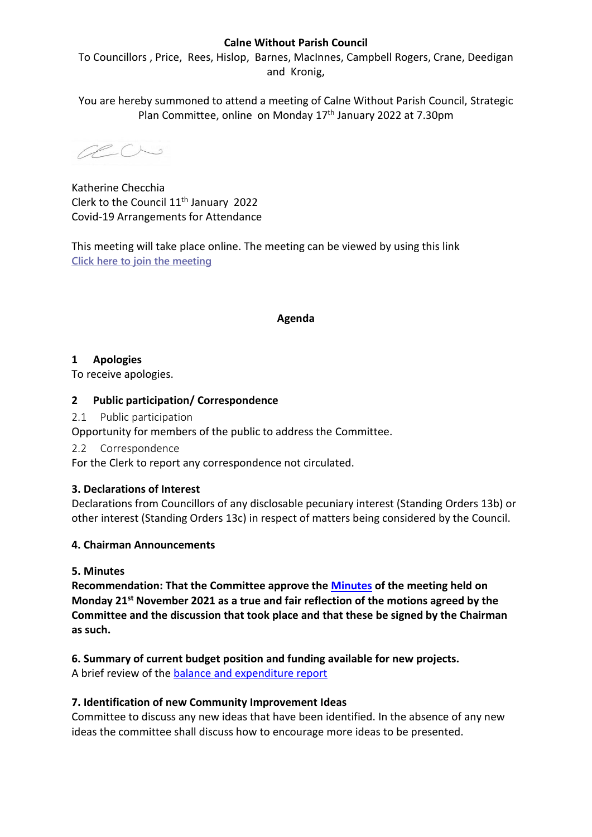# **Calne Without Parish Council**

To Councillors , Price, Rees, Hislop, Barnes, MacInnes, Campbell Rogers, Crane, Deedigan and Kronig,

You are hereby summoned to attend a meeting of Calne Without Parish Council, Strategic Plan Committee, online on Monday 17<sup>th</sup> January 2022 at 7.30pm

acu

Katherine Checchia Clerk to the Council 11<sup>th</sup> January 2022 Covid-19 Arrangements for Attendance

This meeting will take place online. The meeting can be viewed by using this link **[Click here to join the meeting](https://teams.microsoft.com/l/meetup-join/19%3ameeting_ODhlYjQ1MjUtYThlNS00MTQzLTkxZTMtY2NlNDdkMjg5NzYz%40thread.v2/0?context=%7b%22Tid%22%3a%2275d2fdd0-c9ed-4e42-82aa-9764b71762b3%22%2c%22Oid%22%3a%220656e5d1-a27d-4200-8c69-fddce1f7bc21%22%7d)**

#### **Agenda**

# **1 Apologies**

To receive apologies.

# **2 Public participation/ Correspondence**

2.1 Public participation

Opportunity for members of the public to address the Committee.

2.2 Correspondence

For the Clerk to report any correspondence not circulated.

# **3. Declarations of Interest**

Declarations from Councillors of any disclosable pecuniary interest (Standing Orders 13b) or other interest (Standing Orders 13c) in respect of matters being considered by the Council.

# **4. Chairman Announcements**

# **5. Minutes**

**Recommendation: That the Committee approve the [Minutes](https://calnewithout-pc.gov.uk/wp-content/uploads/2021/11/draft-minutes-strategic-plan-comittee-15_11_21.pdf) of the meeting held on Monday 21st November 2021 as a true and fair reflection of the motions agreed by the Committee and the discussion that took place and that these be signed by the Chairman as such.**

# **6. Summary of current budget position and funding available for new projects.**

A brief review of the [balance and expenditure report](https://calnewithout-pc.gov.uk/wp-content/uploads/2022/01/Balance-and-Expenditure-Report-for-10Jan22.pdf)

# **7. Identification of new Community Improvement Ideas**

Committee to discuss any new ideas that have been identified. In the absence of any new ideas the committee shall discuss how to encourage more ideas to be presented.